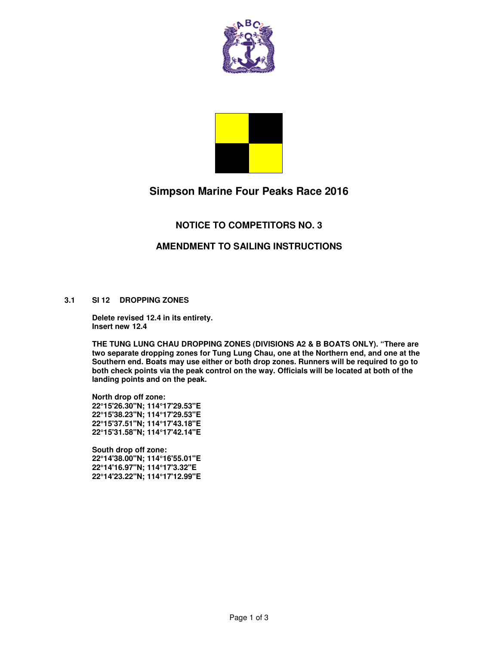



# **Simpson Marine Four Peaks Race 2016**

## **NOTICE TO COMPETITORS NO. 3**

#### **AMENDMENT TO SAILING INSTRUCTIONS**

#### **3.1 SI 12 DROPPING ZONES**

**Delete revised 12.4 in its entirety. Insert new 12.4** 

**THE TUNG LUNG CHAU DROPPING ZONES (DIVISIONS A2 & B BOATS ONLY). "There are two separate dropping zones for Tung Lung Chau, one at the Northern end, and one at the Southern end. Boats may use either or both drop zones. Runners will be required to go to both check points via the peak control on the way. Officials will be located at both of the landing points and on the peak.** 

**North drop off zone: 22°15'26.30"N; 114°17'29.53"E 22°15'38.23"N; 114°17'29.53"E 22°15'37.51"N; 114°17'43.18"E 22°15'31.58"N; 114°17'42.14"E** 

**South drop off zone: 22°14'38.00"N; 114°16'55.01"E 22°14'16.97"N; 114°17'3.32"E 22°14'23.22"N; 114°17'12.99"E**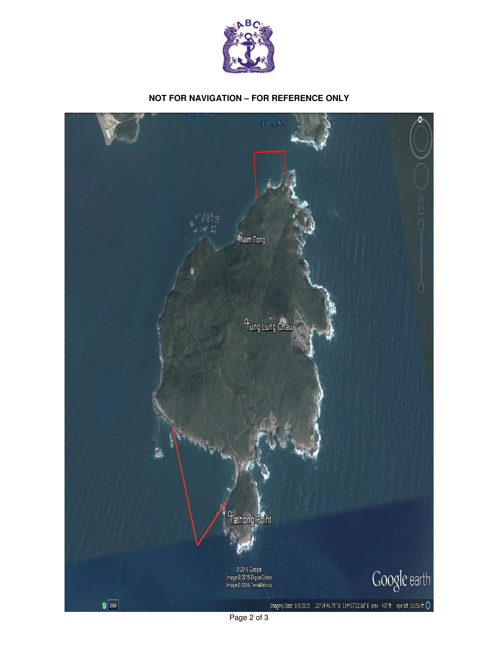

### **NOT FOR NAVIGATION – FOR REFERENCE ONLY**



Page 2 of 3